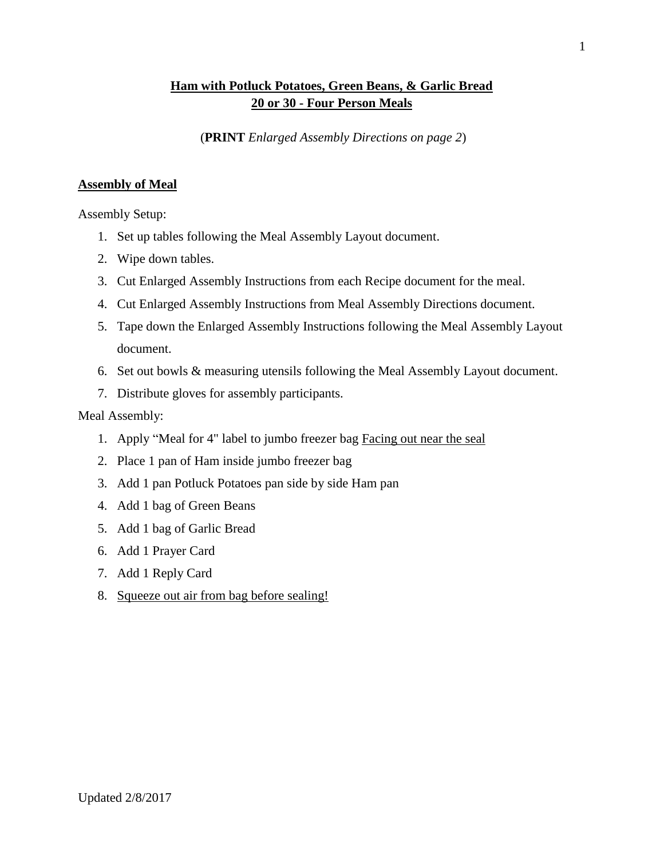## **Ham with Potluck Potatoes, Green Beans, & Garlic Bread 20 or 30 - Four Person Meals**

(**PRINT** *Enlarged Assembly Directions on page 2*)

## **Assembly of Meal**

Assembly Setup:

- 1. Set up tables following the Meal Assembly Layout document.
- 2. Wipe down tables.
- 3. Cut Enlarged Assembly Instructions from each Recipe document for the meal.
- 4. Cut Enlarged Assembly Instructions from Meal Assembly Directions document.
- 5. Tape down the Enlarged Assembly Instructions following the Meal Assembly Layout document.
- 6. Set out bowls & measuring utensils following the Meal Assembly Layout document.
- 7. Distribute gloves for assembly participants.

## Meal Assembly:

- 1. Apply "Meal for 4" label to jumbo freezer bag Facing out near the seal
- 2. Place 1 pan of Ham inside jumbo freezer bag
- 3. Add 1 pan Potluck Potatoes pan side by side Ham pan
- 4. Add 1 bag of Green Beans
- 5. Add 1 bag of Garlic Bread
- 6. Add 1 Prayer Card
- 7. Add 1 Reply Card
- 8. Squeeze out air from bag before sealing!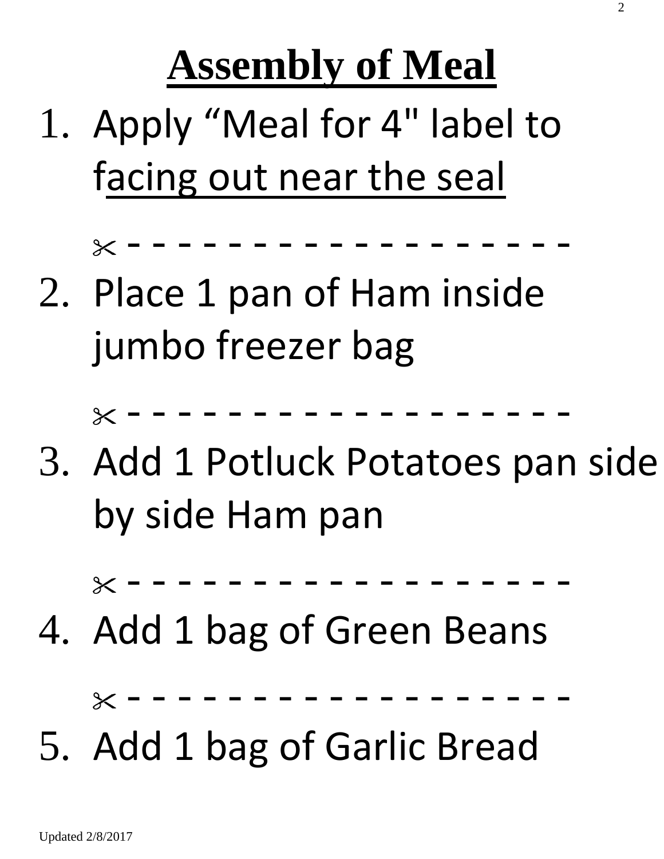**Assembly of Meal**

1. Apply "Meal for 4" label to facing out near the seal

- - - - - - - - - - - - - - - - - -

2. Place 1 pan of Ham inside jumbo freezer bag

 $X - - - - - - - - - - - - - -$ 

3. Add 1 Potluck Potatoes pan side by side Ham pan

- - - - - - - - - - - - - - - - - -

4. Add 1 bag of Green Beans

- - - - - - - - - - - - - - - - - -

5. Add 1 bag of Garlic Bread